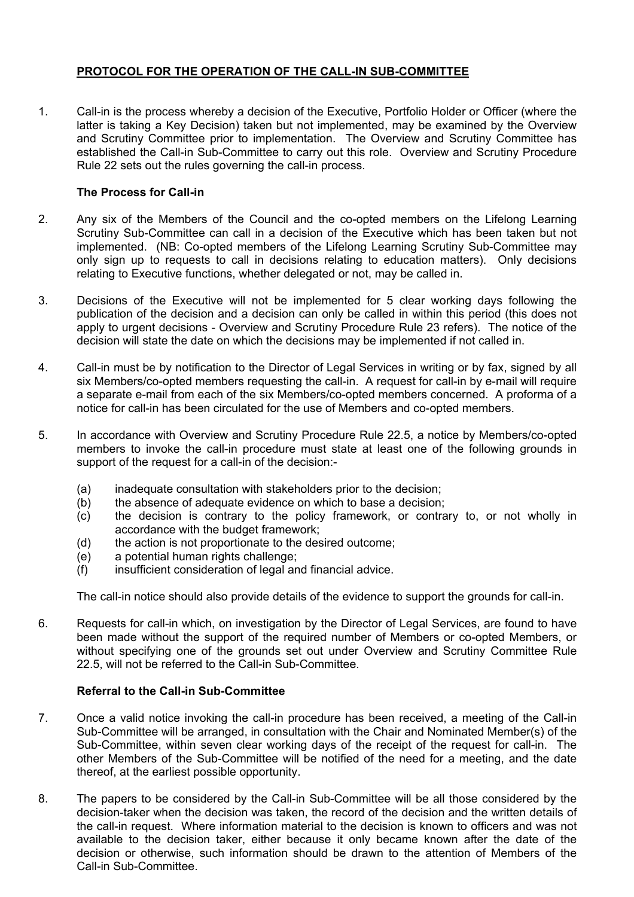## **PROTOCOL FOR THE OPERATION OF THE CALL-IN SUB-COMMITTEE**

1. Call-in is the process whereby a decision of the Executive, Portfolio Holder or Officer (where the latter is taking a Key Decision) taken but not implemented, may be examined by the Overview and Scrutiny Committee prior to implementation. The Overview and Scrutiny Committee has established the Call-in Sub-Committee to carry out this role. Overview and Scrutiny Procedure Rule 22 sets out the rules governing the call-in process.

## **The Process for Call-in**

- 2. Any six of the Members of the Council and the co-opted members on the Lifelong Learning Scrutiny Sub-Committee can call in a decision of the Executive which has been taken but not implemented. (NB: Co-opted members of the Lifelong Learning Scrutiny Sub-Committee may only sign up to requests to call in decisions relating to education matters). Only decisions relating to Executive functions, whether delegated or not, may be called in.
- 3. Decisions of the Executive will not be implemented for 5 clear working days following the publication of the decision and a decision can only be called in within this period (this does not apply to urgent decisions - Overview and Scrutiny Procedure Rule 23 refers). The notice of the decision will state the date on which the decisions may be implemented if not called in.
- 4. Call-in must be by notification to the Director of Legal Services in writing or by fax, signed by all six Members/co-opted members requesting the call-in. A request for call-in by e-mail will require a separate e-mail from each of the six Members/co-opted members concerned. A proforma of a notice for call-in has been circulated for the use of Members and co-opted members.
- 5. In accordance with Overview and Scrutiny Procedure Rule 22.5, a notice by Members/co-opted members to invoke the call-in procedure must state at least one of the following grounds in support of the request for a call-in of the decision:-
	- (a) inadequate consultation with stakeholders prior to the decision;
	- (b) the absence of adequate evidence on which to base a decision;
	- (c) the decision is contrary to the policy framework, or contrary to, or not wholly in accordance with the budget framework;
	- (d) the action is not proportionate to the desired outcome;
	- (e) a potential human rights challenge;
	- (f) insufficient consideration of legal and financial advice.

The call-in notice should also provide details of the evidence to support the grounds for call-in.

6. Requests for call-in which, on investigation by the Director of Legal Services, are found to have been made without the support of the required number of Members or co-opted Members, or without specifying one of the grounds set out under Overview and Scrutiny Committee Rule 22.5, will not be referred to the Call-in Sub-Committee.

## **Referral to the Call-in Sub-Committee**

- 7. Once a valid notice invoking the call-in procedure has been received, a meeting of the Call-in Sub-Committee will be arranged, in consultation with the Chair and Nominated Member(s) of the Sub-Committee, within seven clear working days of the receipt of the request for call-in. The other Members of the Sub-Committee will be notified of the need for a meeting, and the date thereof, at the earliest possible opportunity.
- 8. The papers to be considered by the Call-in Sub-Committee will be all those considered by the decision-taker when the decision was taken, the record of the decision and the written details of the call-in request. Where information material to the decision is known to officers and was not available to the decision taker, either because it only became known after the date of the decision or otherwise, such information should be drawn to the attention of Members of the Call-in Sub-Committee.